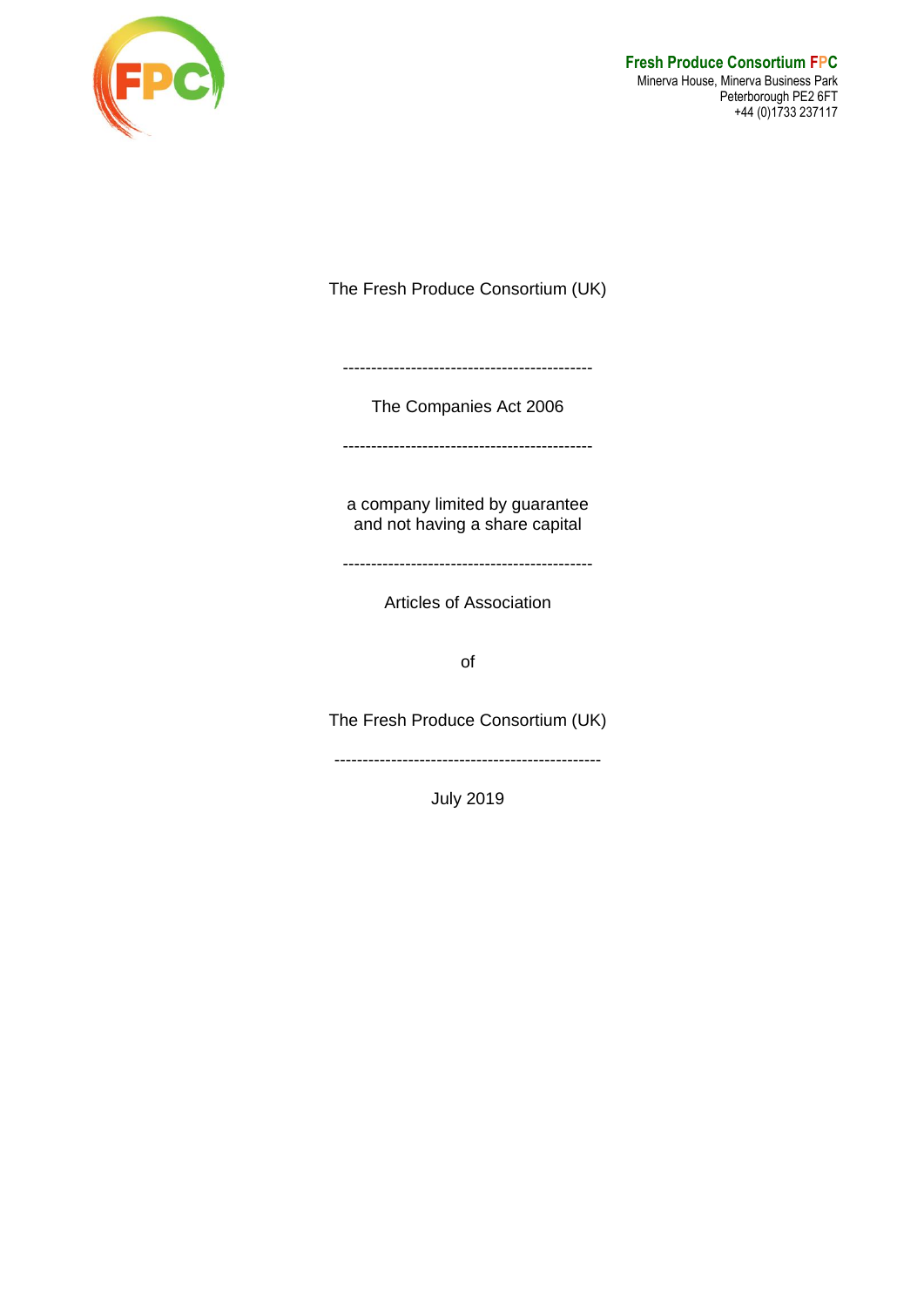

The Fresh Produce Consortium (UK)

--------------------------------------------

The Companies Act 2006

--------------------------------------------

a company limited by guarantee and not having a share capital

--------------------------------------------

Articles of Association

of

The Fresh Produce Consortium (UK)

-----------------------------------------------

July 2019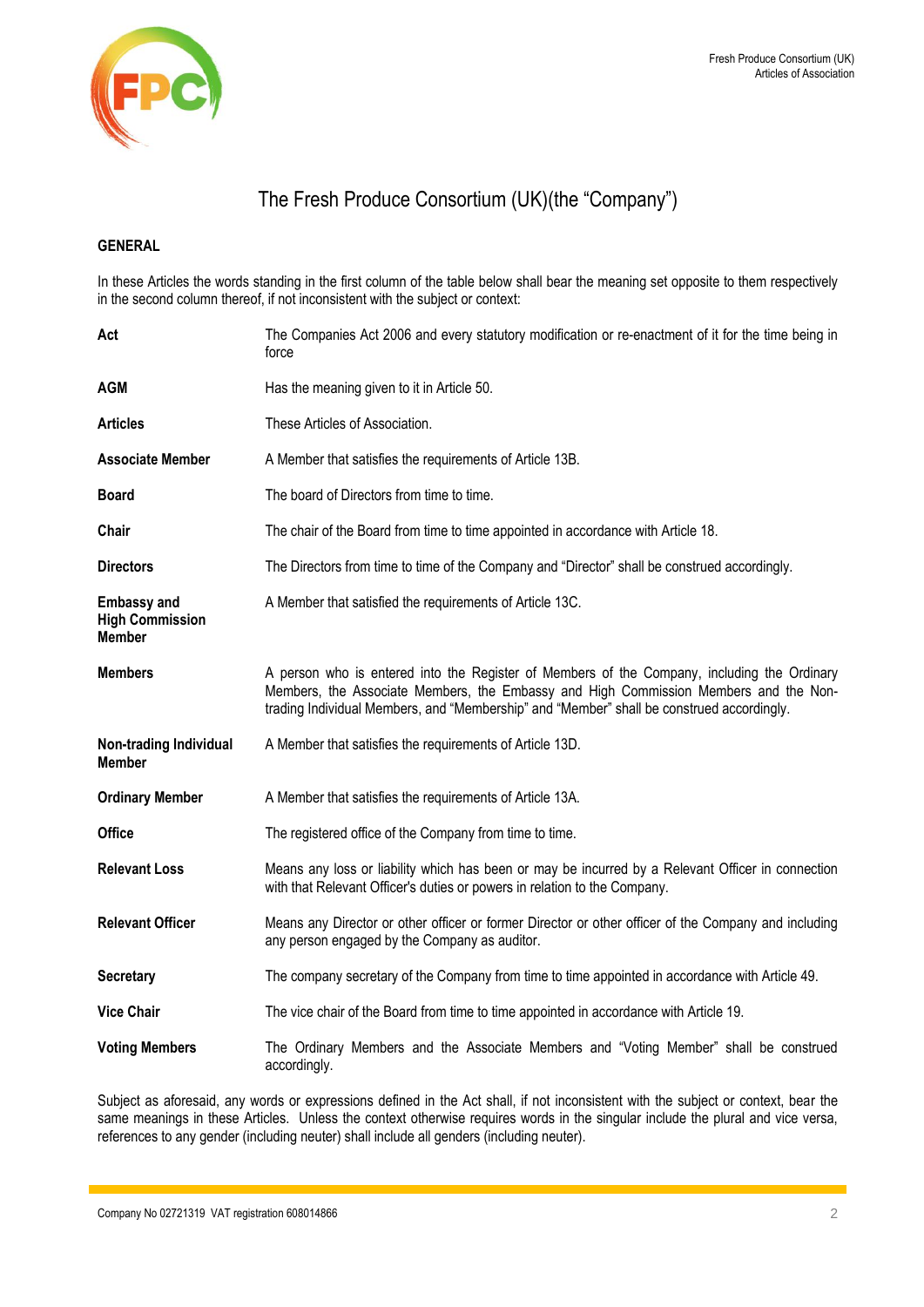

# The Fresh Produce Consortium (UK)(the "Company")

## **GENERAL**

In these Articles the words standing in the first column of the table below shall bear the meaning set opposite to them respectively in the second column thereof, if not inconsistent with the subject or context:

| Act                                                           | The Companies Act 2006 and every statutory modification or re-enactment of it for the time being in<br>force                                                                                                                                                                     |
|---------------------------------------------------------------|----------------------------------------------------------------------------------------------------------------------------------------------------------------------------------------------------------------------------------------------------------------------------------|
| AGM                                                           | Has the meaning given to it in Article 50.                                                                                                                                                                                                                                       |
| <b>Articles</b>                                               | These Articles of Association.                                                                                                                                                                                                                                                   |
| <b>Associate Member</b>                                       | A Member that satisfies the requirements of Article 13B.                                                                                                                                                                                                                         |
| <b>Board</b>                                                  | The board of Directors from time to time.                                                                                                                                                                                                                                        |
| Chair                                                         | The chair of the Board from time to time appointed in accordance with Article 18.                                                                                                                                                                                                |
| <b>Directors</b>                                              | The Directors from time to time of the Company and "Director" shall be construed accordingly.                                                                                                                                                                                    |
| <b>Embassy and</b><br><b>High Commission</b><br><b>Member</b> | A Member that satisfied the requirements of Article 13C.                                                                                                                                                                                                                         |
| <b>Members</b>                                                | A person who is entered into the Register of Members of the Company, including the Ordinary<br>Members, the Associate Members, the Embassy and High Commission Members and the Non-<br>trading Individual Members, and "Membership" and "Member" shall be construed accordingly. |
| <b>Non-trading Individual</b><br><b>Member</b>                | A Member that satisfies the requirements of Article 13D.                                                                                                                                                                                                                         |
| <b>Ordinary Member</b>                                        | A Member that satisfies the requirements of Article 13A.                                                                                                                                                                                                                         |
| <b>Office</b>                                                 | The registered office of the Company from time to time.                                                                                                                                                                                                                          |
| <b>Relevant Loss</b>                                          | Means any loss or liability which has been or may be incurred by a Relevant Officer in connection<br>with that Relevant Officer's duties or powers in relation to the Company.                                                                                                   |
| <b>Relevant Officer</b>                                       | Means any Director or other officer or former Director or other officer of the Company and including<br>any person engaged by the Company as auditor.                                                                                                                            |
| <b>Secretary</b>                                              | The company secretary of the Company from time to time appointed in accordance with Article 49.                                                                                                                                                                                  |
| <b>Vice Chair</b>                                             | The vice chair of the Board from time to time appointed in accordance with Article 19.                                                                                                                                                                                           |
| <b>Voting Members</b>                                         | The Ordinary Members and the Associate Members and "Voting Member" shall be construed<br>accordingly.                                                                                                                                                                            |

Subject as aforesaid, any words or expressions defined in the Act shall, if not inconsistent with the subject or context, bear the same meanings in these Articles. Unless the context otherwise requires words in the singular include the plural and vice versa, references to any gender (including neuter) shall include all genders (including neuter).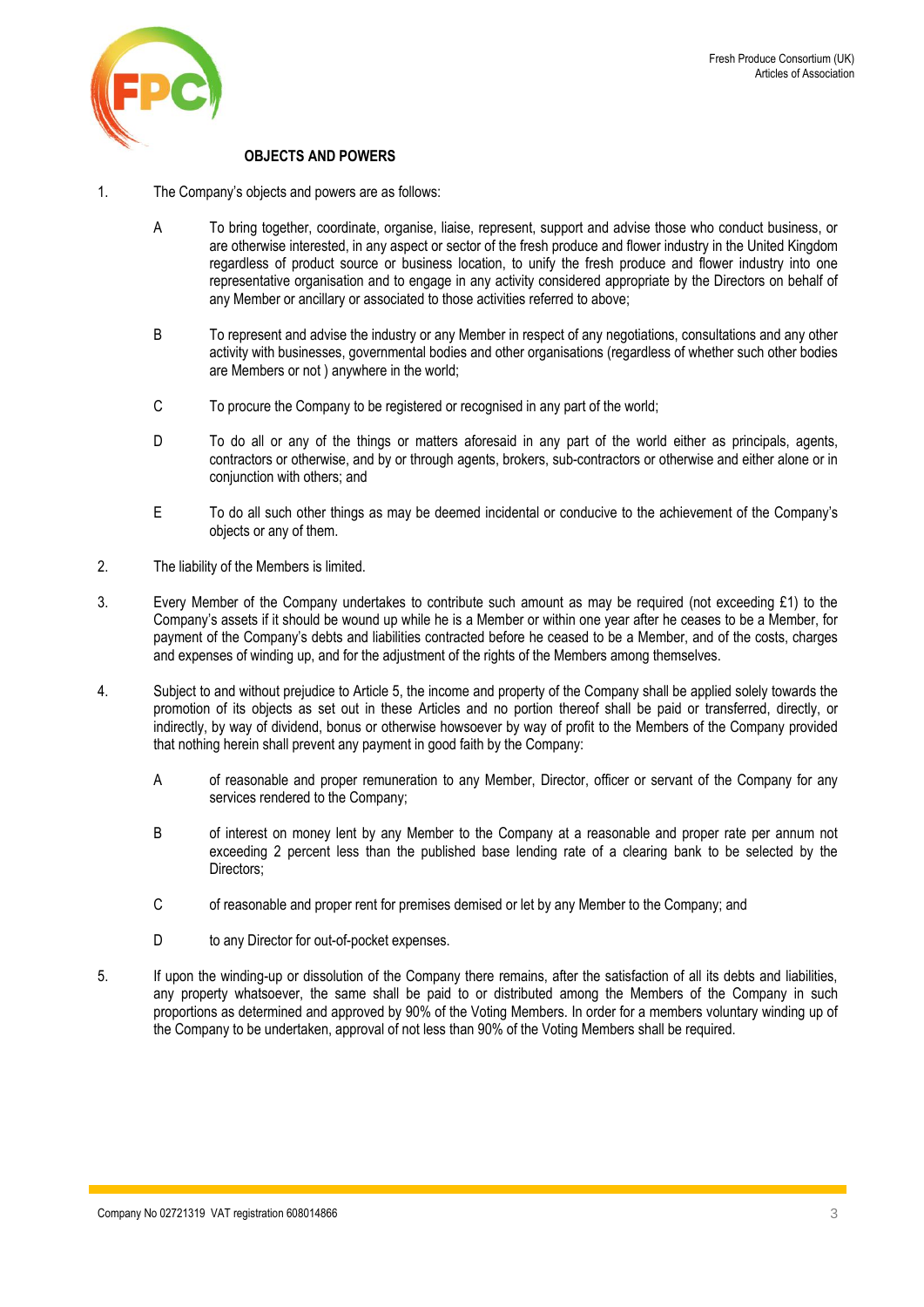

## **OBJECTS AND POWERS**

- 1. The Company's objects and powers are as follows:
	- A To bring together, coordinate, organise, liaise, represent, support and advise those who conduct business, or are otherwise interested, in any aspect or sector of the fresh produce and flower industry in the United Kingdom regardless of product source or business location, to unify the fresh produce and flower industry into one representative organisation and to engage in any activity considered appropriate by the Directors on behalf of any Member or ancillary or associated to those activities referred to above;
	- B To represent and advise the industry or any Member in respect of any negotiations, consultations and any other activity with businesses, governmental bodies and other organisations (regardless of whether such other bodies are Members or not ) anywhere in the world;
	- C To procure the Company to be registered or recognised in any part of the world;
	- D To do all or any of the things or matters aforesaid in any part of the world either as principals, agents, contractors or otherwise, and by or through agents, brokers, sub-contractors or otherwise and either alone or in conjunction with others; and
	- E To do all such other things as may be deemed incidental or conducive to the achievement of the Company's objects or any of them.
- 2. The liability of the Members is limited.
- 3. Every Member of the Company undertakes to contribute such amount as may be required (not exceeding £1) to the Company's assets if it should be wound up while he is a Member or within one year after he ceases to be a Member, for payment of the Company's debts and liabilities contracted before he ceased to be a Member, and of the costs, charges and expenses of winding up, and for the adjustment of the rights of the Members among themselves.
- 4. Subject to and without prejudice to Article 5, the income and property of the Company shall be applied solely towards the promotion of its objects as set out in these Articles and no portion thereof shall be paid or transferred, directly, or indirectly, by way of dividend, bonus or otherwise howsoever by way of profit to the Members of the Company provided that nothing herein shall prevent any payment in good faith by the Company:
	- A of reasonable and proper remuneration to any Member, Director, officer or servant of the Company for any services rendered to the Company;
	- B of interest on money lent by any Member to the Company at a reasonable and proper rate per annum not exceeding 2 percent less than the published base lending rate of a clearing bank to be selected by the Directors:
	- C of reasonable and proper rent for premises demised or let by any Member to the Company; and
	- D to any Director for out-of-pocket expenses.
- 5. If upon the winding-up or dissolution of the Company there remains, after the satisfaction of all its debts and liabilities, any property whatsoever, the same shall be paid to or distributed among the Members of the Company in such proportions as determined and approved by 90% of the Voting Members. In order for a members voluntary winding up of the Company to be undertaken, approval of not less than 90% of the Voting Members shall be required.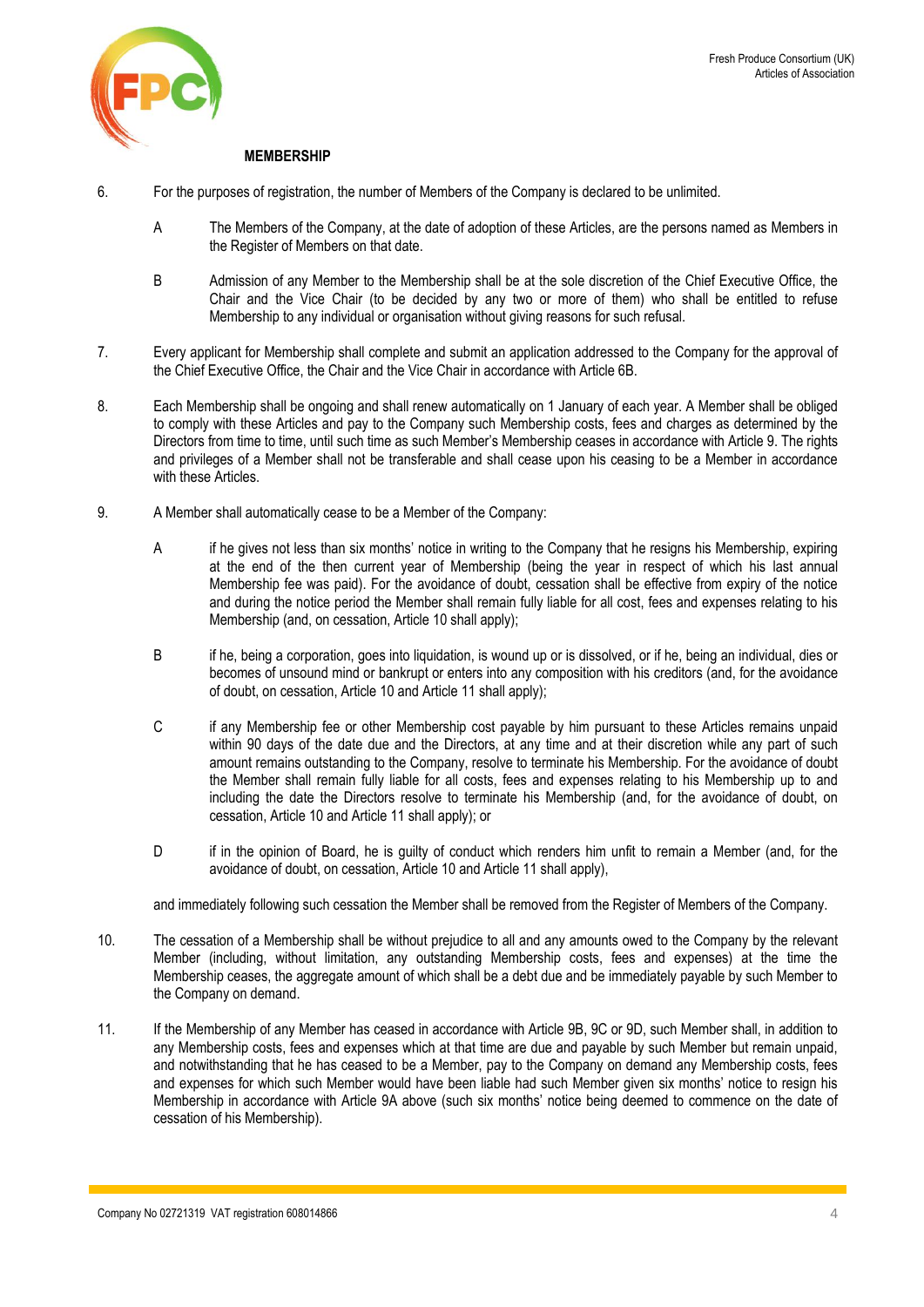

## **MEMBERSHIP**

- <span id="page-3-0"></span>6. For the purposes of registration, the number of Members of the Company is declared to be unlimited.
	- A The Members of the Company, at the date of adoption of these Articles, are the persons named as Members in the Register of Members on that date.
	- B Admission of any Member to the Membership shall be at the sole discretion of the Chief Executive Office, the Chair and the Vice Chair (to be decided by any two or more of them) who shall be entitled to refuse Membership to any individual or organisation without giving reasons for such refusal.
- 7. Every applicant for Membership shall complete and submit an application addressed to the Company for the approval of the Chief Executive Office, the Chair and the Vice Chair in accordance with Articl[e 6B](#page-3-0).
- 8. Each Membership shall be ongoing and shall renew automatically on 1 January of each year. A Member shall be obliged to comply with these Articles and pay to the Company such Membership costs, fees and charges as determined by the Directors from time to time, until such time as such Member's Membership ceases in accordance with Article [9.](#page-3-1) The rights and privileges of a Member shall not be transferable and shall cease upon his ceasing to be a Member in accordance with these Articles.
- <span id="page-3-1"></span>9. A Member shall automatically cease to be a Member of the Company:
	- A if he gives not less than six months' notice in writing to the Company that he resigns his Membership, expiring at the end of the then current year of Membership (being the year in respect of which his last annual Membership fee was paid). For the avoidance of doubt, cessation shall be effective from expiry of the notice and during the notice period the Member shall remain fully liable for all cost, fees and expenses relating to his Membership (and, on cessation, Article 10 shall apply);
	- B if he, being a corporation, goes into liquidation, is wound up or is dissolved, or if he, being an individual, dies or becomes of unsound mind or bankrupt or enters into any composition with his creditors (and, for the avoidance of doubt, on cessation, Article 10 and Articl[e 11](#page-3-2) shall apply);
	- C if any Membership fee or other Membership cost payable by him pursuant to these Articles remains unpaid within 90 days of the date due and the Directors, at any time and at their discretion while any part of such amount remains outstanding to the Company, resolve to terminate his Membership. For the avoidance of doubt the Member shall remain fully liable for all costs, fees and expenses relating to his Membership up to and including the date the Directors resolve to terminate his Membership (and, for the avoidance of doubt, on cessation, Article 10 and Articl[e 11](#page-3-2) shall apply); or
	- D if in the opinion of Board, he is guilty of conduct which renders him unfit to remain a Member (and, for the avoidance of doubt, on cessation, Article 10 and Article [11](#page-3-2) shall apply),

and immediately following such cessation the Member shall be removed from the Register of Members of the Company.

- 10. The cessation of a Membership shall be without prejudice to all and any amounts owed to the Company by the relevant Member (including, without limitation, any outstanding Membership costs, fees and expenses) at the time the Membership ceases, the aggregate amount of which shall be a debt due and be immediately payable by such Member to the Company on demand.
- <span id="page-3-2"></span>11. If the Membership of any Member has ceased in accordance with Article [9B](#page-3-1), [9C](#page-3-1) o[r 9D](#page-3-1), such Member shall, in addition to any Membership costs, fees and expenses which at that time are due and payable by such Member but remain unpaid, and notwithstanding that he has ceased to be a Member, pay to the Company on demand any Membership costs, fees and expenses for which such Member would have been liable had such Member given six months' notice to resign his Membership in accordance with Article [9](#page-3-1)A above (such six months' notice being deemed to commence on the date of cessation of his Membership).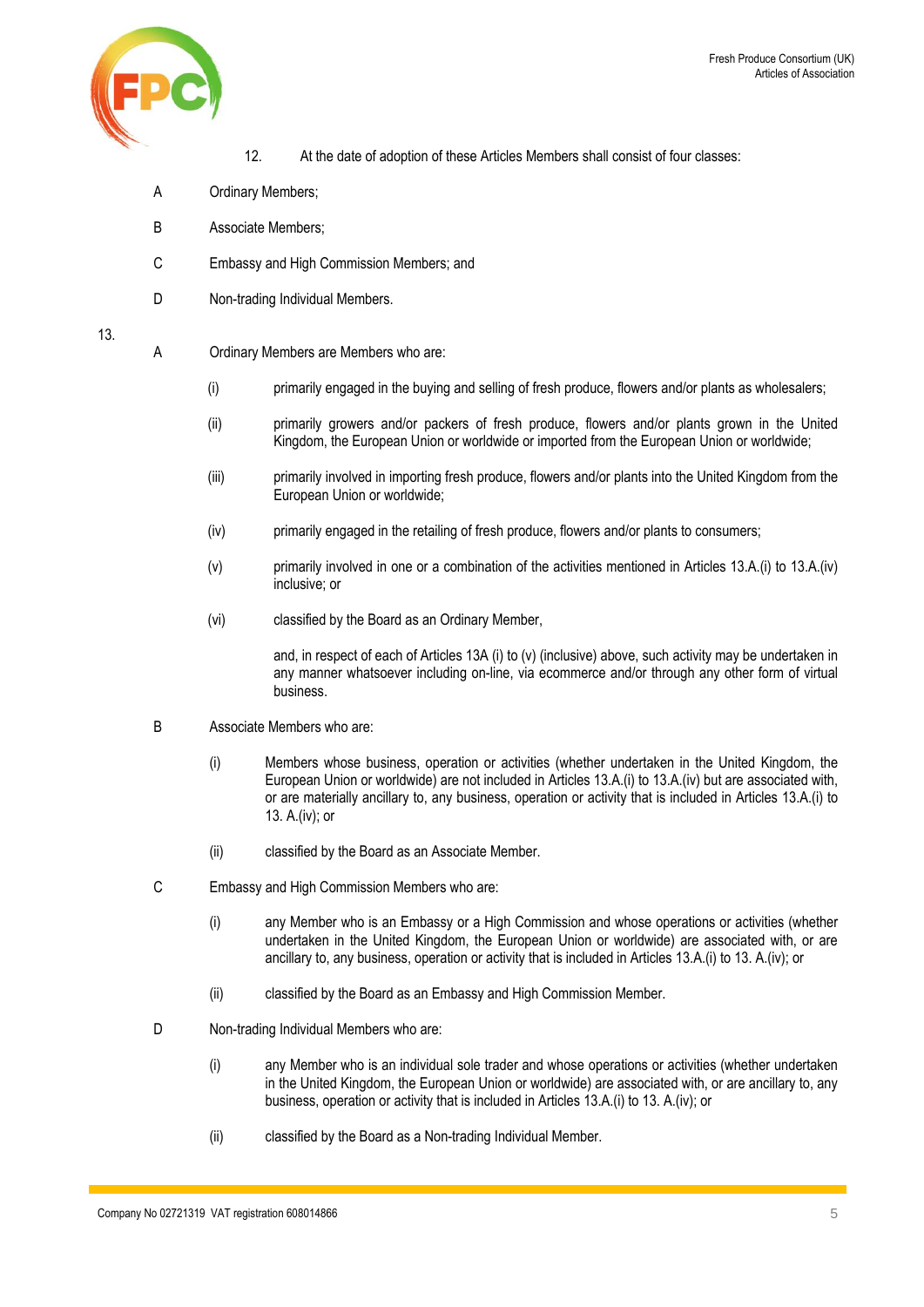

- 12. At the date of adoption of these Articles Members shall consist of four classes:
- A Ordinary Members;
- B Associate Members;
- C Embassy and High Commission Members; and
- D Non-trading Individual Members.

## <span id="page-4-0"></span>13.

- A Ordinary Members are Members who are:
	- (i) primarily engaged in the buying and selling of fresh produce, flowers and/or plants as wholesalers;
	- (ii) primarily growers and/or packers of fresh produce, flowers and/or plants grown in the United Kingdom, the European Union or worldwide or imported from the European Union or worldwide;
	- (iii) primarily involved in importing fresh produce, flowers and/or plants into the United Kingdom from the European Union or worldwide;
	- (iv) primarily engaged in the retailing of fresh produce, flowers and/or plants to consumers;
	- (v) primarily involved in one or a combination of the activities mentioned in Articles [13.](#page-4-0)A.(i) to [13.A](#page-4-0).(iv) inclusive; or
	- (vi) classified by the Board as an Ordinary Member,

and, in respect of each of Articles 13A (i) to (v) (inclusive) above, such activity may be undertaken in any manner whatsoever including on-line, via ecommerce and/or through any other form of virtual business.

- B Associate Members who are:
	- (i) Members whose business, operation or activities (whether undertaken in the United Kingdom, the European Union or worldwide) are not included in Articles [13.](#page-4-0)A.(i) t[o 13.](#page-4-0)A.(iv) but are associated with, or are materially ancillary to, any business, operation or activity that is included in Articles [13.](#page-4-0)A.(i) to [13.](#page-4-0) A.(iv); or
	- (ii) classified by the Board as an Associate Member.
- C Embassy and High Commission Members who are:
	- (i) any Member who is an Embassy or a High Commission and whose operations or activities (whether undertaken in the United Kingdom, the European Union or worldwide) are associated with, or are ancillary to, any business, operation or activity that is included in Article[s 13.A](#page-4-0).(i) t[o 13.](#page-4-0) A.(iv); or
	- (ii) classified by the Board as an Embassy and High Commission Member.
- D Non-trading Individual Members who are:
	- (i) any Member who is an individual sole trader and whose operations or activities (whether undertaken in the United Kingdom, the European Union or worldwide) are associated with, or are ancillary to, any business, operation or activity that is included in Articles [13.A](#page-4-0).(i) to [13.](#page-4-0) A.(iv); or
	- (ii) classified by the Board as a Non-trading Individual Member.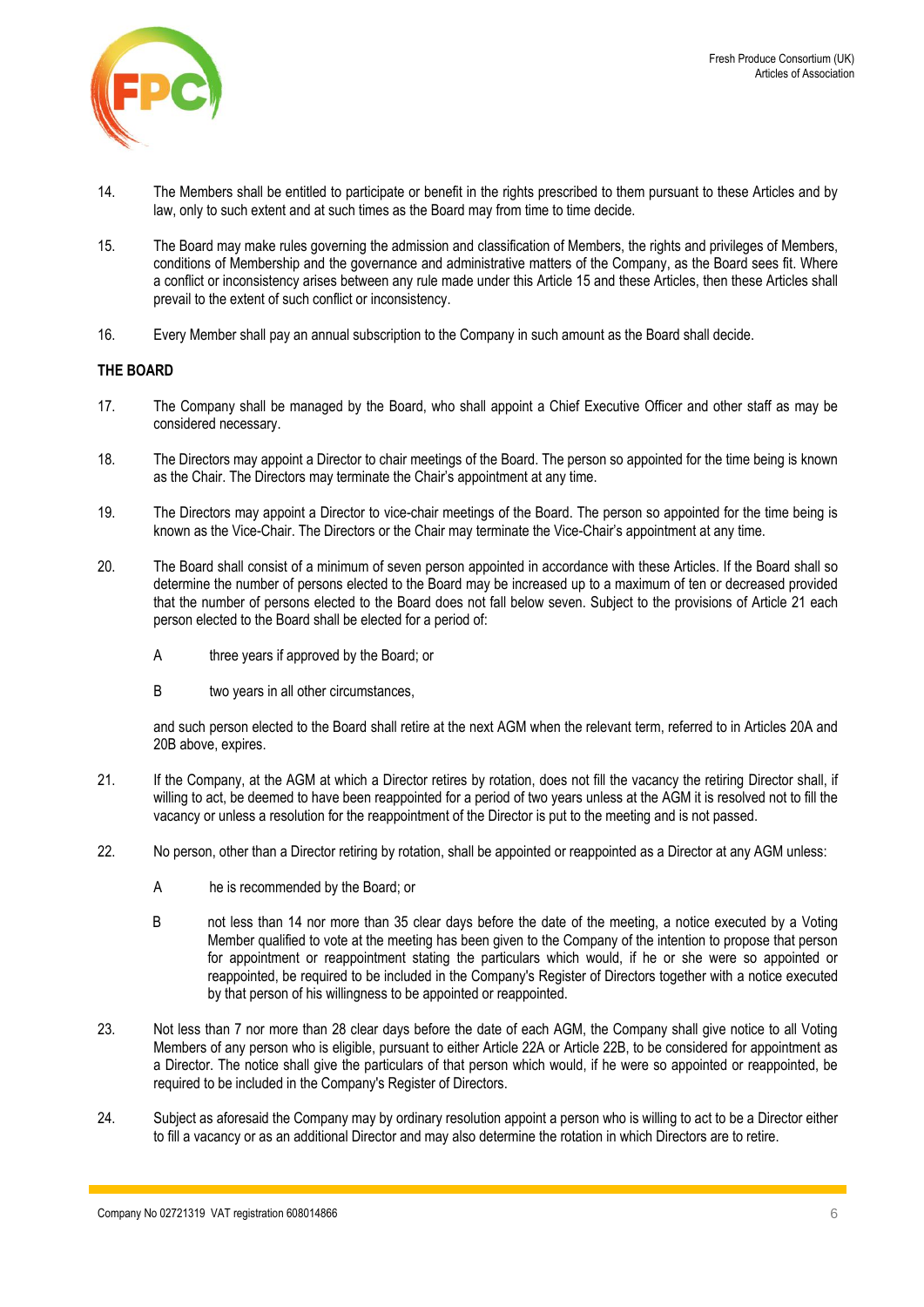

- 14. The Members shall be entitled to participate or benefit in the rights prescribed to them pursuant to these Articles and by law, only to such extent and at such times as the Board may from time to time decide.
- 15. The Board may make rules governing the admission and classification of Members, the rights and privileges of Members, conditions of Membership and the governance and administrative matters of the Company, as the Board sees fit. Where a conflict or inconsistency arises between any rule made under this Article 15 and these Articles, then these Articles shall prevail to the extent of such conflict or inconsistency.
- 16. Every Member shall pay an annual subscription to the Company in such amount as the Board shall decide.

# **THE BOARD**

- 17. The Company shall be managed by the Board, who shall appoint a Chief Executive Officer and other staff as may be considered necessary.
- <span id="page-5-0"></span>18. The Directors may appoint a Director to chair meetings of the Board. The person so appointed for the time being is known as the Chair. The Directors may terminate the Chair's appointment at any time.
- <span id="page-5-1"></span>19. The Directors may appoint a Director to vice-chair meetings of the Board. The person so appointed for the time being is known as the Vice-Chair. The Directors or the Chair may terminate the Vice-Chair's appointment at any time.
- <span id="page-5-3"></span>20. The Board shall consist of a minimum of seven person appointed in accordance with these Articles. If the Board shall so determine the number of persons elected to the Board may be increased up to a maximum of ten or decreased provided that the number of persons elected to the Board does not fall below seven. Subject to the provisions of Article [21](#page-5-2) each person elected to the Board shall be elected for a period of:
	- A three years if approved by the Board; or
	- B two years in all other circumstances,

and such person elected to the Board shall retire at the next AGM when the relevant term, referred to in Articles [20A](#page-5-3) and [20B](#page-5-3) above, expires.

- <span id="page-5-2"></span>21. If the Company, at the AGM at which a Director retires by rotation, does not fill the vacancy the retiring Director shall, if willing to act, be deemed to have been reappointed for a period of two years unless at the AGM it is resolved not to fill the vacancy or unless a resolution for the reappointment of the Director is put to the meeting and is not passed.
- <span id="page-5-4"></span>22. No person, other than a Director retiring by rotation, shall be appointed or reappointed as a Director at any AGM unless:
	- A he is recommended by the Board; or
	- B not less than 14 nor more than 35 clear days before the date of the meeting, a notice executed by a Voting Member qualified to vote at the meeting has been given to the Company of the intention to propose that person for appointment or reappointment stating the particulars which would, if he or she were so appointed or reappointed, be required to be included in the Company's Register of Directors together with a notice executed by that person of his willingness to be appointed or reappointed.
- 23. Not less than 7 nor more than 28 clear days before the date of each AGM, the Company shall give notice to all Voting Members of any person who is eligible, pursuant to either Articl[e 22A](#page-5-4) or Articl[e 22B](#page-5-4), to be considered for appointment as a Director. The notice shall give the particulars of that person which would, if he were so appointed or reappointed, be required to be included in the Company's Register of Directors.
- 24. Subject as aforesaid the Company may by ordinary resolution appoint a person who is willing to act to be a Director either to fill a vacancy or as an additional Director and may also determine the rotation in which Directors are to retire.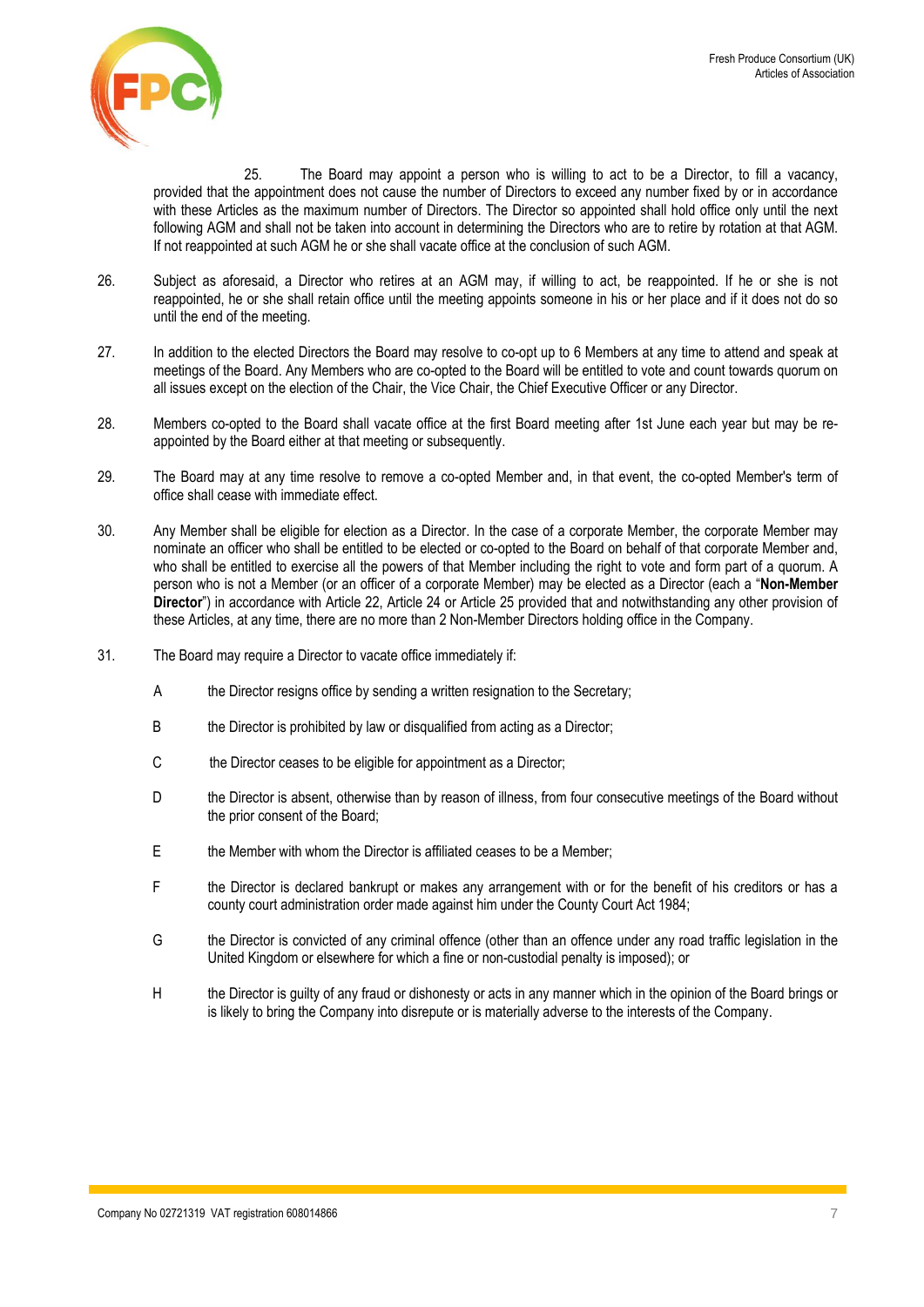

25. The Board may appoint a person who is willing to act to be a Director, to fill a vacancy, provided that the appointment does not cause the number of Directors to exceed any number fixed by or in accordance with these Articles as the maximum number of Directors. The Director so appointed shall hold office only until the next following AGM and shall not be taken into account in determining the Directors who are to retire by rotation at that AGM. If not reappointed at such AGM he or she shall vacate office at the conclusion of such AGM.

- 26. Subject as aforesaid, a Director who retires at an AGM may, if willing to act, be reappointed. If he or she is not reappointed, he or she shall retain office until the meeting appoints someone in his or her place and if it does not do so until the end of the meeting.
- 27. In addition to the elected Directors the Board may resolve to co-opt up to 6 Members at any time to attend and speak at meetings of the Board. Any Members who are co-opted to the Board will be entitled to vote and count towards quorum on all issues except on the election of the Chair, the Vice Chair, the Chief Executive Officer or any Director.
- 28. Members co-opted to the Board shall vacate office at the first Board meeting after 1st June each year but may be reappointed by the Board either at that meeting or subsequently.
- 29. The Board may at any time resolve to remove a co-opted Member and, in that event, the co-opted Member's term of office shall cease with immediate effect.
- 30. Any Member shall be eligible for election as a Director. In the case of a corporate Member, the corporate Member may nominate an officer who shall be entitled to be elected or co-opted to the Board on behalf of that corporate Member and, who shall be entitled to exercise all the powers of that Member including the right to vote and form part of a quorum. A person who is not a Member (or an officer of a corporate Member) may be elected as a Director (each a "**Non-Member Director**") in accordance with Article 22, Article 24 or Article 25 provided that and notwithstanding any other provision of these Articles, at any time, there are no more than 2 Non-Member Directors holding office in the Company.
- 31. The Board may require a Director to vacate office immediately if:
	- A the Director resigns office by sending a written resignation to the Secretary;
	- B the Director is prohibited by law or disqualified from acting as a Director;
	- C the Director ceases to be eligible for appointment as a Director;
	- D the Director is absent, otherwise than by reason of illness, from four consecutive meetings of the Board without the prior consent of the Board;
	- E the Member with whom the Director is affiliated ceases to be a Member;
	- F the Director is declared bankrupt or makes any arrangement with or for the benefit of his creditors or has a county court administration order made against him under the County Court Act 1984;
	- G the Director is convicted of any criminal offence (other than an offence under any road traffic legislation in the United Kingdom or elsewhere for which a fine or non-custodial penalty is imposed); or
	- H the Director is guilty of any fraud or dishonesty or acts in any manner which in the opinion of the Board brings or is likely to bring the Company into disrepute or is materially adverse to the interests of the Company.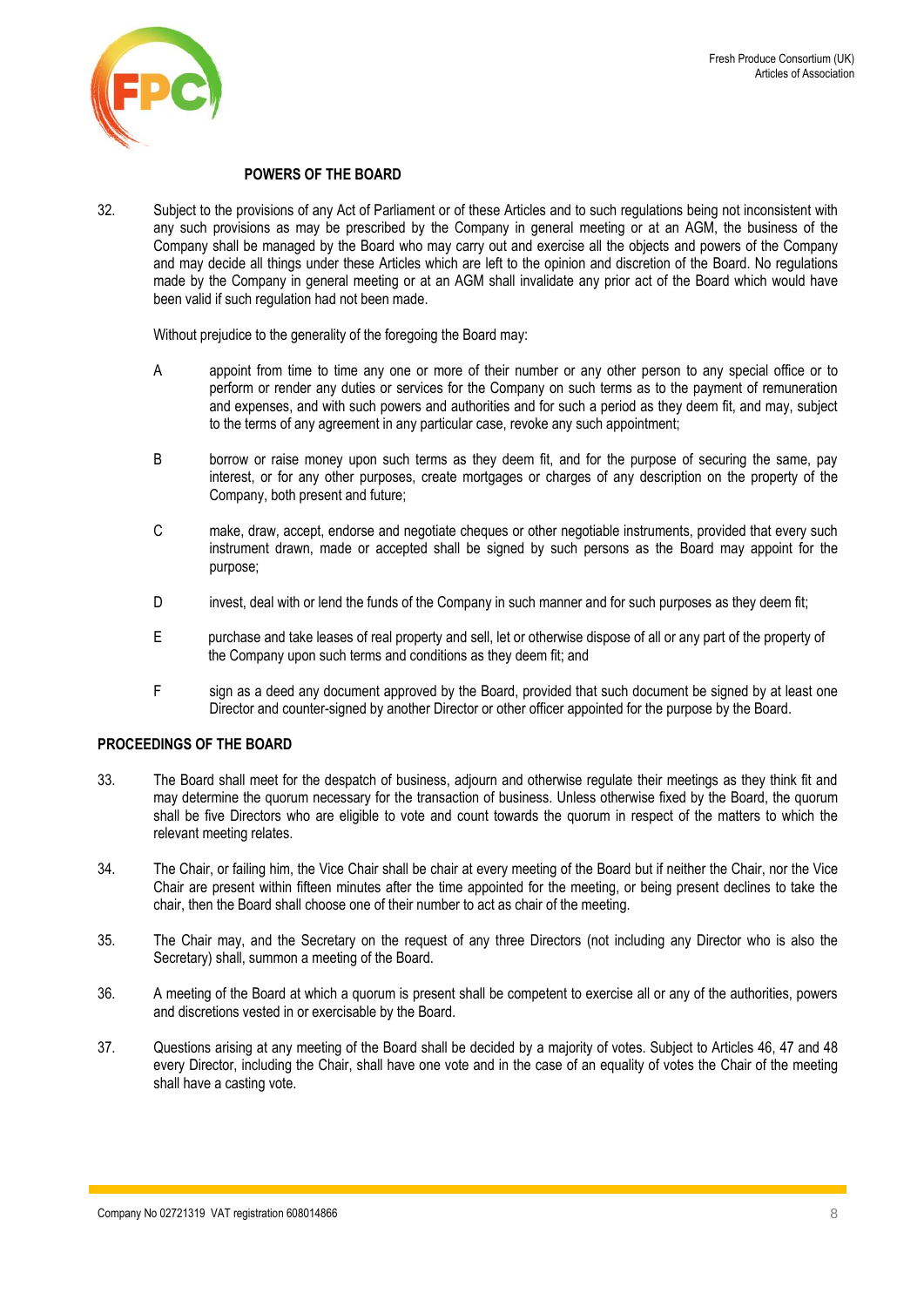

#### **POWERS OF THE BOARD**

32. Subject to the provisions of any Act of Parliament or of these Articles and to such regulations being not inconsistent with any such provisions as may be prescribed by the Company in general meeting or at an AGM, the business of the Company shall be managed by the Board who may carry out and exercise all the objects and powers of the Company and may decide all things under these Articles which are left to the opinion and discretion of the Board. No regulations made by the Company in general meeting or at an AGM shall invalidate any prior act of the Board which would have been valid if such regulation had not been made.

Without prejudice to the generality of the foregoing the Board may:

- A appoint from time to time any one or more of their number or any other person to any special office or to perform or render any duties or services for the Company on such terms as to the payment of remuneration and expenses, and with such powers and authorities and for such a period as they deem fit, and may, subject to the terms of any agreement in any particular case, revoke any such appointment;
- B borrow or raise money upon such terms as they deem fit, and for the purpose of securing the same, pay interest, or for any other purposes, create mortgages or charges of any description on the property of the Company, both present and future;
- C make, draw, accept, endorse and negotiate cheques or other negotiable instruments, provided that every such instrument drawn, made or accepted shall be signed by such persons as the Board may appoint for the purpose;
- D invest, deal with or lend the funds of the Company in such manner and for such purposes as they deem fit;
- E purchase and take leases of real property and sell, let or otherwise dispose of all or any part of the property of the Company upon such terms and conditions as they deem fit; and
- F sign as a deed any document approved by the Board, provided that such document be signed by at least one Director and counter-signed by another Director or other officer appointed for the purpose by the Board.

# **PROCEEDINGS OF THE BOARD**

- 33. The Board shall meet for the despatch of business, adjourn and otherwise regulate their meetings as they think fit and may determine the quorum necessary for the transaction of business. Unless otherwise fixed by the Board, the quorum shall be five Directors who are eligible to vote and count towards the quorum in respect of the matters to which the relevant meeting relates.
- 34. The Chair, or failing him, the Vice Chair shall be chair at every meeting of the Board but if neither the Chair, nor the Vice Chair are present within fifteen minutes after the time appointed for the meeting, or being present declines to take the chair, then the Board shall choose one of their number to act as chair of the meeting.
- 35. The Chair may, and the Secretary on the request of any three Directors (not including any Director who is also the Secretary) shall, summon a meeting of the Board.
- 36. A meeting of the Board at which a quorum is present shall be competent to exercise all or any of the authorities, powers and discretions vested in or exercisable by the Board.
- 37. Questions arising at any meeting of the Board shall be decided by a majority of votes. Subject to Articles [46,](#page-8-0) [47](#page-8-1) and [48](#page-8-2) every Director, including the Chair, shall have one vote and in the case of an equality of votes the Chair of the meeting shall have a casting vote.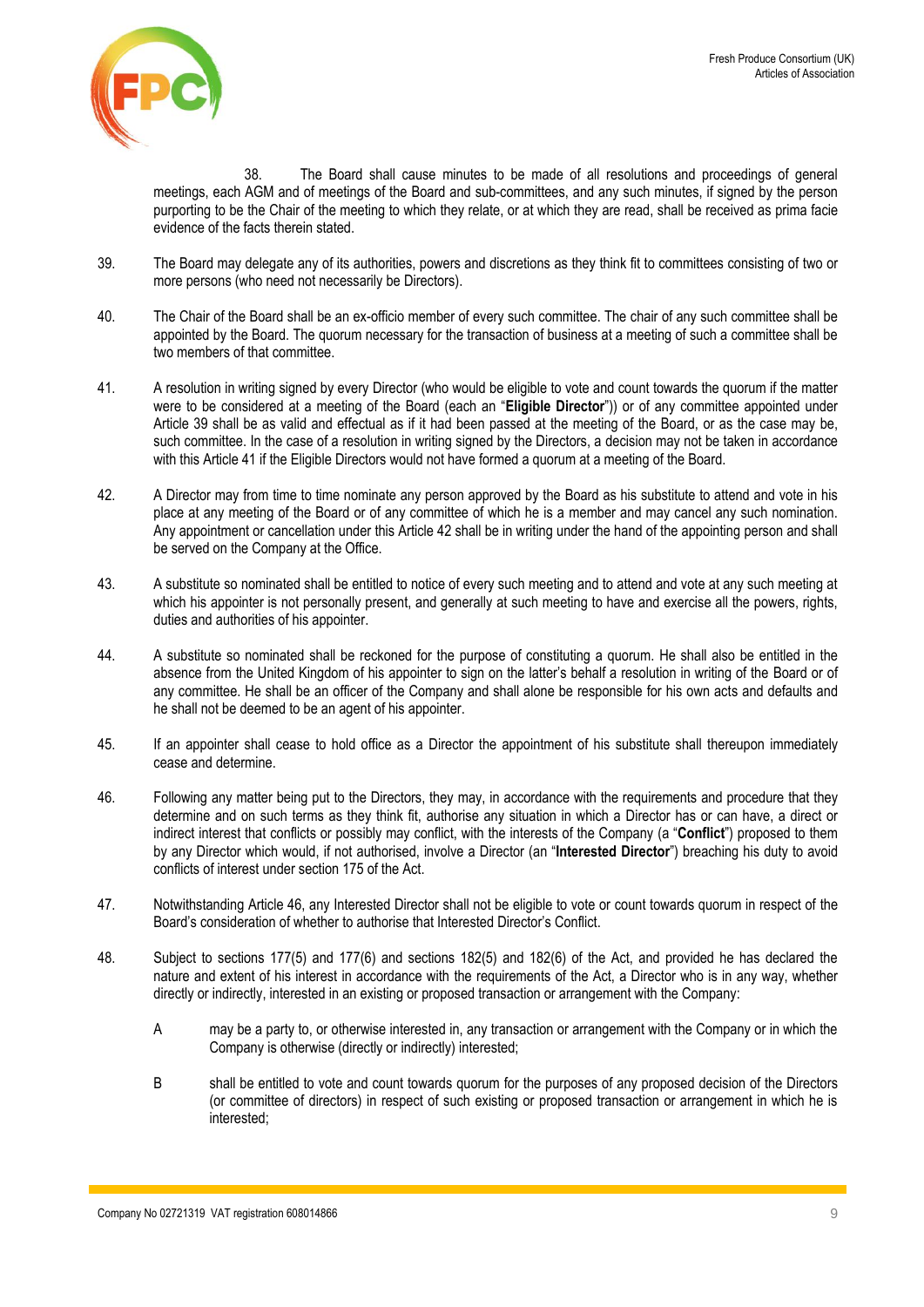

38. The Board shall cause minutes to be made of all resolutions and proceedings of general meetings, each AGM and of meetings of the Board and sub-committees, and any such minutes, if signed by the person purporting to be the Chair of the meeting to which they relate, or at which they are read, shall be received as prima facie evidence of the facts therein stated.

- <span id="page-8-3"></span>39. The Board may delegate any of its authorities, powers and discretions as they think fit to committees consisting of two or more persons (who need not necessarily be Directors).
- 40. The Chair of the Board shall be an ex-officio member of every such committee. The chair of any such committee shall be appointed by the Board. The quorum necessary for the transaction of business at a meeting of such a committee shall be two members of that committee.
- <span id="page-8-4"></span>41. A resolution in writing signed by every Director (who would be eligible to vote and count towards the quorum if the matter were to be considered at a meeting of the Board (each an "**Eligible Director**")) or of any committee appointed under Article [39](#page-8-3) shall be as valid and effectual as if it had been passed at the meeting of the Board, or as the case may be, such committee. In the case of a resolution in writing signed by the Directors, a decision may not be taken in accordance with this Article [41](#page-8-4) if the Eligible Directors would not have formed a quorum at a meeting of the Board.
- <span id="page-8-5"></span>42. A Director may from time to time nominate any person approved by the Board as his substitute to attend and vote in his place at any meeting of the Board or of any committee of which he is a member and may cancel any such nomination. Any appointment or cancellation under this Article [42](#page-8-5) shall be in writing under the hand of the appointing person and shall be served on the Company at the Office.
- 43. A substitute so nominated shall be entitled to notice of every such meeting and to attend and vote at any such meeting at which his appointer is not personally present, and generally at such meeting to have and exercise all the powers, rights, duties and authorities of his appointer.
- 44. A substitute so nominated shall be reckoned for the purpose of constituting a quorum. He shall also be entitled in the absence from the United Kingdom of his appointer to sign on the latter's behalf a resolution in writing of the Board or of any committee. He shall be an officer of the Company and shall alone be responsible for his own acts and defaults and he shall not be deemed to be an agent of his appointer.
- 45. If an appointer shall cease to hold office as a Director the appointment of his substitute shall thereupon immediately cease and determine.
- <span id="page-8-0"></span>46. Following any matter being put to the Directors, they may, in accordance with the requirements and procedure that they determine and on such terms as they think fit, authorise any situation in which a Director has or can have, a direct or indirect interest that conflicts or possibly may conflict, with the interests of the Company (a "**Conflict**") proposed to them by any Director which would, if not authorised, involve a Director (an "**Interested Director**") breaching his duty to avoid conflicts of interest under section 175 of the Act.
- <span id="page-8-1"></span>47. Notwithstanding Article [46,](#page-8-0) any Interested Director shall not be eligible to vote or count towards quorum in respect of the Board's consideration of whether to authorise that Interested Director's Conflict.
- <span id="page-8-2"></span>48. Subject to sections 177(5) and 177(6) and sections 182(5) and 182(6) of the Act, and provided he has declared the nature and extent of his interest in accordance with the requirements of the Act, a Director who is in any way, whether directly or indirectly, interested in an existing or proposed transaction or arrangement with the Company:
	- A may be a party to, or otherwise interested in, any transaction or arrangement with the Company or in which the Company is otherwise (directly or indirectly) interested;
	- B shall be entitled to vote and count towards quorum for the purposes of any proposed decision of the Directors (or committee of directors) in respect of such existing or proposed transaction or arrangement in which he is interested;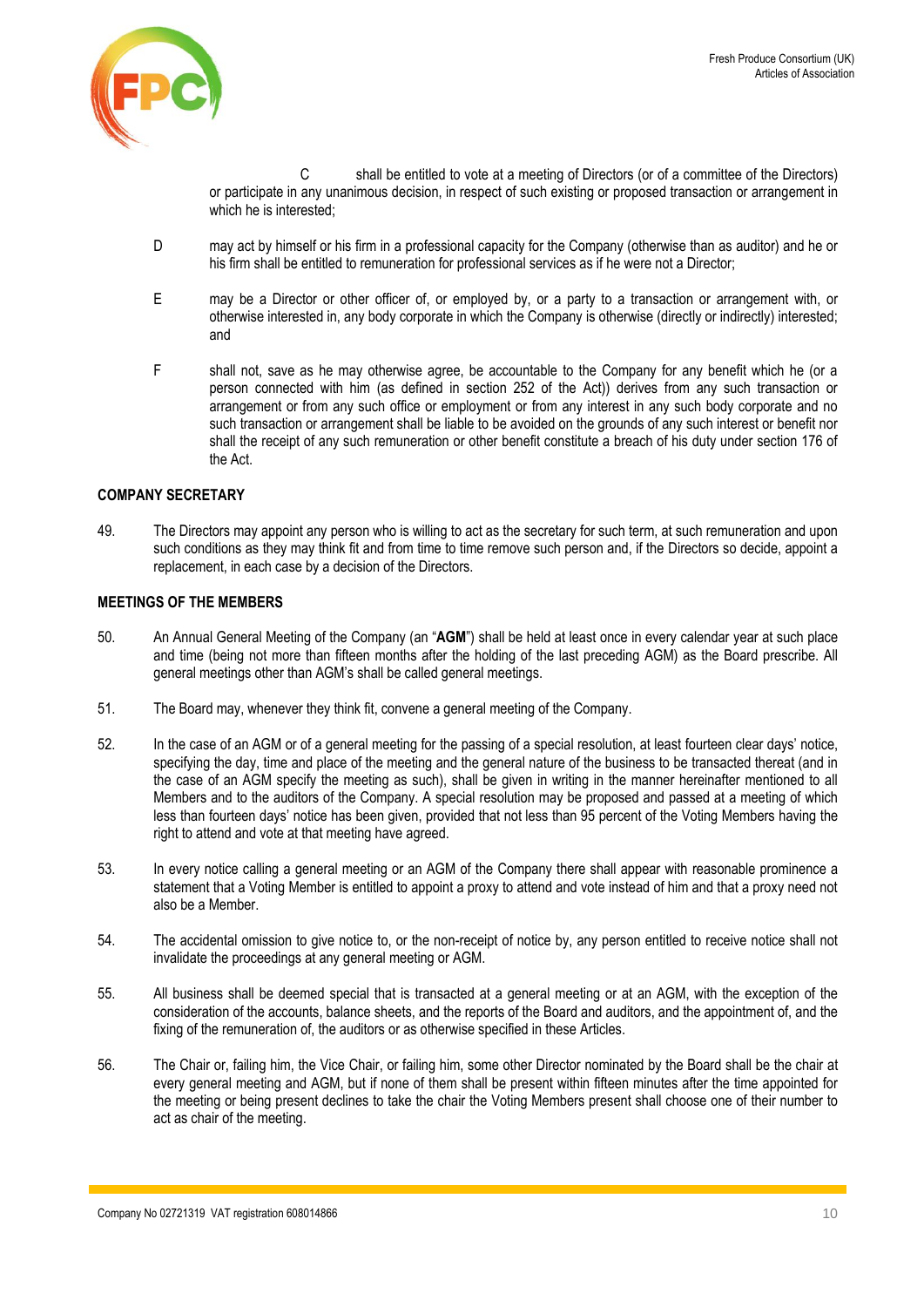

C shall be entitled to vote at a meeting of Directors (or of a committee of the Directors) or participate in any unanimous decision, in respect of such existing or proposed transaction or arrangement in which he is interested;

- D may act by himself or his firm in a professional capacity for the Company (otherwise than as auditor) and he or his firm shall be entitled to remuneration for professional services as if he were not a Director;
- E may be a Director or other officer of, or employed by, or a party to a transaction or arrangement with, or otherwise interested in, any body corporate in which the Company is otherwise (directly or indirectly) interested; and
- F shall not, save as he may otherwise agree, be accountable to the Company for any benefit which he (or a person connected with him (as defined in section 252 of the Act)) derives from any such transaction or arrangement or from any such office or employment or from any interest in any such body corporate and no such transaction or arrangement shall be liable to be avoided on the grounds of any such interest or benefit nor shall the receipt of any such remuneration or other benefit constitute a breach of his duty under section 176 of the Act.

## **COMPANY SECRETARY**

<span id="page-9-1"></span>49. The Directors may appoint any person who is willing to act as the secretary for such term, at such remuneration and upon such conditions as they may think fit and from time to time remove such person and, if the Directors so decide, appoint a replacement, in each case by a decision of the Directors.

#### **MEETINGS OF THE MEMBERS**

- <span id="page-9-0"></span>50. An Annual General Meeting of the Company (an "**AGM**") shall be held at least once in every calendar year at such place and time (being not more than fifteen months after the holding of the last preceding AGM) as the Board prescribe. All general meetings other than AGM's shall be called general meetings.
- 51. The Board may, whenever they think fit, convene a general meeting of the Company.
- 52. In the case of an AGM or of a general meeting for the passing of a special resolution, at least fourteen clear days' notice, specifying the day, time and place of the meeting and the general nature of the business to be transacted thereat (and in the case of an AGM specify the meeting as such), shall be given in writing in the manner hereinafter mentioned to all Members and to the auditors of the Company. A special resolution may be proposed and passed at a meeting of which less than fourteen days' notice has been given, provided that not less than 95 percent of the Voting Members having the right to attend and vote at that meeting have agreed.
- 53. In every notice calling a general meeting or an AGM of the Company there shall appear with reasonable prominence a statement that a Voting Member is entitled to appoint a proxy to attend and vote instead of him and that a proxy need not also be a Member.
- 54. The accidental omission to give notice to, or the non-receipt of notice by, any person entitled to receive notice shall not invalidate the proceedings at any general meeting or AGM.
- 55. All business shall be deemed special that is transacted at a general meeting or at an AGM, with the exception of the consideration of the accounts, balance sheets, and the reports of the Board and auditors, and the appointment of, and the fixing of the remuneration of, the auditors or as otherwise specified in these Articles.
- 56. The Chair or, failing him, the Vice Chair, or failing him, some other Director nominated by the Board shall be the chair at every general meeting and AGM, but if none of them shall be present within fifteen minutes after the time appointed for the meeting or being present declines to take the chair the Voting Members present shall choose one of their number to act as chair of the meeting.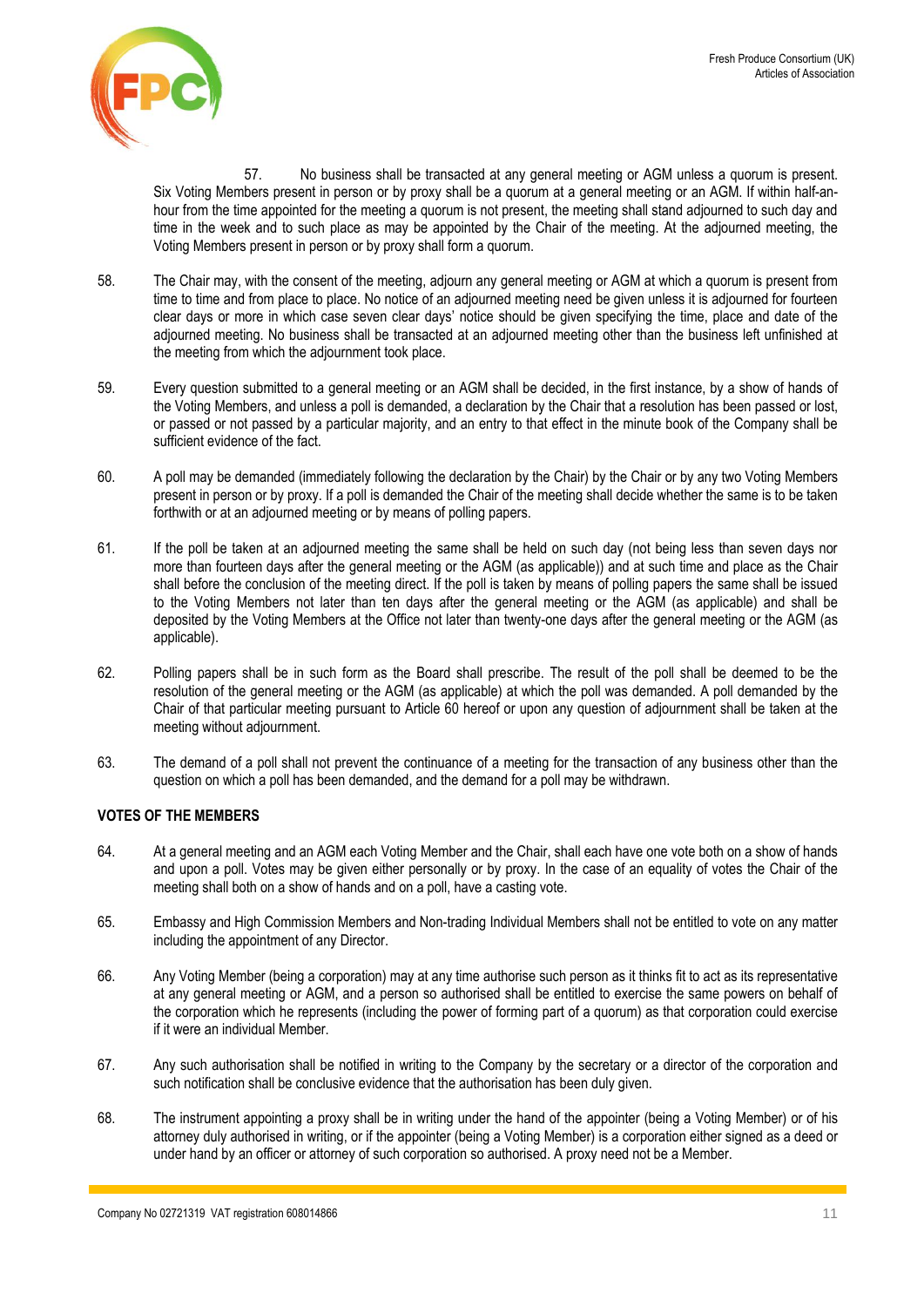

57. No business shall be transacted at any general meeting or AGM unless a quorum is present. Six Voting Members present in person or by proxy shall be a quorum at a general meeting or an AGM. If within half-anhour from the time appointed for the meeting a quorum is not present, the meeting shall stand adjourned to such day and time in the week and to such place as may be appointed by the Chair of the meeting. At the adjourned meeting, the Voting Members present in person or by proxy shall form a quorum.

- 58. The Chair may, with the consent of the meeting, adjourn any general meeting or AGM at which a quorum is present from time to time and from place to place. No notice of an adjourned meeting need be given unless it is adjourned for fourteen clear days or more in which case seven clear days' notice should be given specifying the time, place and date of the adjourned meeting. No business shall be transacted at an adjourned meeting other than the business left unfinished at the meeting from which the adjournment took place.
- 59. Every question submitted to a general meeting or an AGM shall be decided, in the first instance, by a show of hands of the Voting Members, and unless a poll is demanded, a declaration by the Chair that a resolution has been passed or lost, or passed or not passed by a particular majority, and an entry to that effect in the minute book of the Company shall be sufficient evidence of the fact.
- <span id="page-10-0"></span>60. A poll may be demanded (immediately following the declaration by the Chair) by the Chair or by any two Voting Members present in person or by proxy. If a poll is demanded the Chair of the meeting shall decide whether the same is to be taken forthwith or at an adjourned meeting or by means of polling papers.
- 61. If the poll be taken at an adjourned meeting the same shall be held on such day (not being less than seven days nor more than fourteen days after the general meeting or the AGM (as applicable)) and at such time and place as the Chair shall before the conclusion of the meeting direct. If the poll is taken by means of polling papers the same shall be issued to the Voting Members not later than ten days after the general meeting or the AGM (as applicable) and shall be deposited by the Voting Members at the Office not later than twenty-one days after the general meeting or the AGM (as applicable).
- 62. Polling papers shall be in such form as the Board shall prescribe. The result of the poll shall be deemed to be the resolution of the general meeting or the AGM (as applicable) at which the poll was demanded. A poll demanded by the Chair of that particular meeting pursuant to Article [60](#page-10-0) hereof or upon any question of adjournment shall be taken at the meeting without adjournment.
- 63. The demand of a poll shall not prevent the continuance of a meeting for the transaction of any business other than the question on which a poll has been demanded, and the demand for a poll may be withdrawn.

# **VOTES OF THE MEMBERS**

- 64. At a general meeting and an AGM each Voting Member and the Chair, shall each have one vote both on a show of hands and upon a poll. Votes may be given either personally or by proxy. In the case of an equality of votes the Chair of the meeting shall both on a show of hands and on a poll, have a casting vote.
- 65. Embassy and High Commission Members and Non-trading Individual Members shall not be entitled to vote on any matter including the appointment of any Director.
- 66. Any Voting Member (being a corporation) may at any time authorise such person as it thinks fit to act as its representative at any general meeting or AGM, and a person so authorised shall be entitled to exercise the same powers on behalf of the corporation which he represents (including the power of forming part of a quorum) as that corporation could exercise if it were an individual Member.
- 67. Any such authorisation shall be notified in writing to the Company by the secretary or a director of the corporation and such notification shall be conclusive evidence that the authorisation has been duly given.
- 68. The instrument appointing a proxy shall be in writing under the hand of the appointer (being a Voting Member) or of his attorney duly authorised in writing, or if the appointer (being a Voting Member) is a corporation either signed as a deed or under hand by an officer or attorney of such corporation so authorised. A proxy need not be a Member.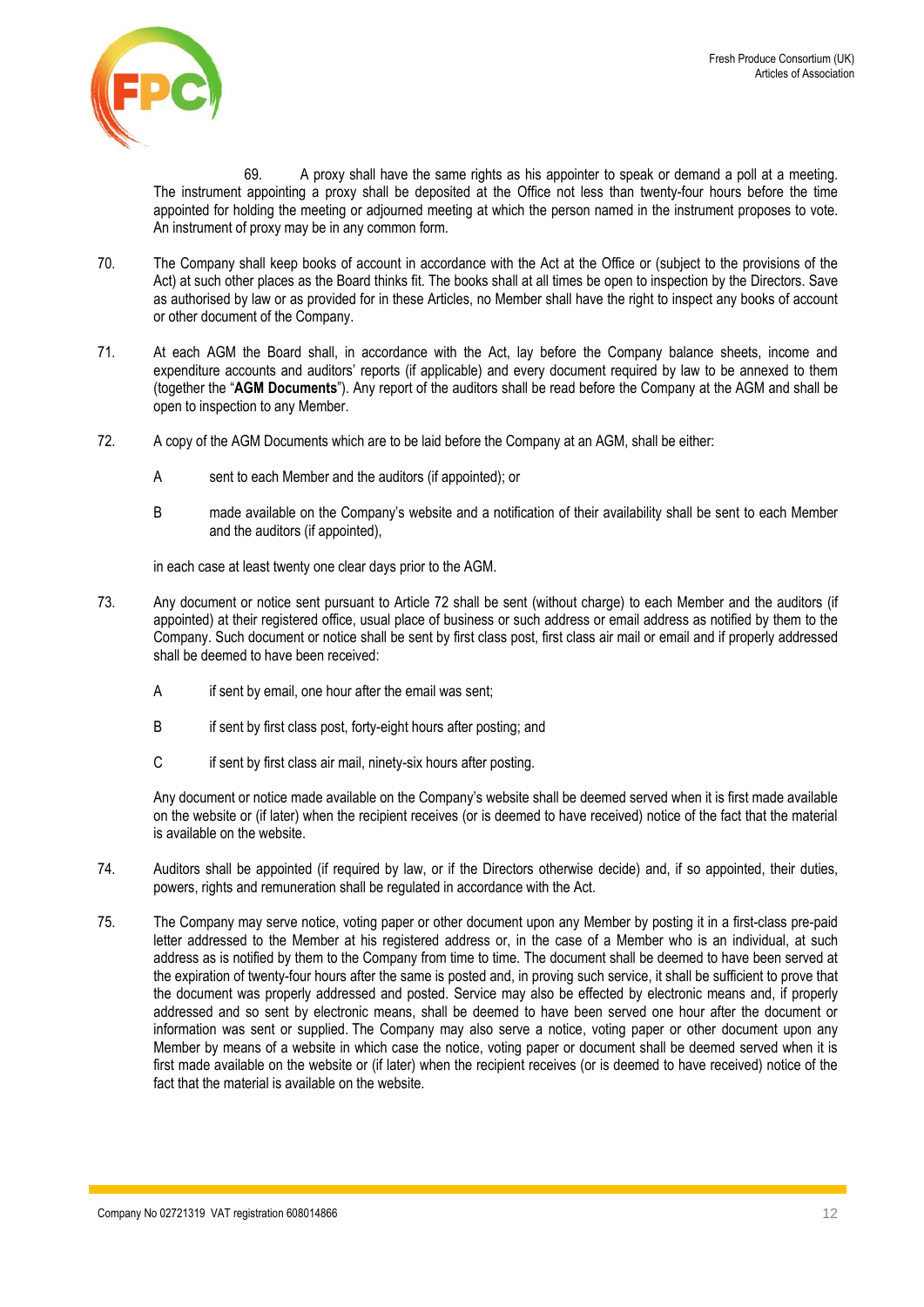

69. A proxy shall have the same rights as his appointer to speak or demand a poll at a meeting. The instrument appointing a proxy shall be deposited at the Office not less than twenty-four hours before the time appointed for holding the meeting or adjourned meeting at which the person named in the instrument proposes to vote. An instrument of proxy may be in any common form.

- 70. The Company shall keep books of account in accordance with the Act at the Office or (subject to the provisions of the Act) at such other places as the Board thinks fit. The books shall at all times be open to inspection by the Directors. Save as authorised by law or as provided for in these Articles, no Member shall have the right to inspect any books of account or other document of the Company.
- 71. At each AGM the Board shall, in accordance with the Act, lay before the Company balance sheets, income and expenditure accounts and auditors' reports (if applicable) and every document required by law to be annexed to them (together the "**AGM Documents**"). Any report of the auditors shall be read before the Company at the AGM and shall be open to inspection to any Member.
- <span id="page-11-0"></span>72. A copy of the AGM Documents which are to be laid before the Company at an AGM, shall be either:
	- A sent to each Member and the auditors (if appointed); or
	- B made available on the Company's website and a notification of their availability shall be sent to each Member and the auditors (if appointed),

in each case at least twenty one clear days prior to the AGM.

- 73. Any document or notice sent pursuant to Article [72](#page-11-0) shall be sent (without charge) to each Member and the auditors (if appointed) at their registered office, usual place of business or such address or email address as notified by them to the Company. Such document or notice shall be sent by first class post, first class air mail or email and if properly addressed shall be deemed to have been received:
	- A if sent by email, one hour after the email was sent;
	- B if sent by first class post, forty-eight hours after posting; and
	- C if sent by first class air mail, ninety-six hours after posting.

Any document or notice made available on the Company's website shall be deemed served when it is first made available on the website or (if later) when the recipient receives (or is deemed to have received) notice of the fact that the material is available on the website.

- 74. Auditors shall be appointed (if required by law, or if the Directors otherwise decide) and, if so appointed, their duties, powers, rights and remuneration shall be regulated in accordance with the Act.
- 75. The Company may serve notice, voting paper or other document upon any Member by posting it in a first-class pre-paid letter addressed to the Member at his registered address or, in the case of a Member who is an individual, at such address as is notified by them to the Company from time to time. The document shall be deemed to have been served at the expiration of twenty-four hours after the same is posted and, in proving such service, it shall be sufficient to prove that the document was properly addressed and posted. Service may also be effected by electronic means and, if properly addressed and so sent by electronic means, shall be deemed to have been served one hour after the document or information was sent or supplied. The Company may also serve a notice, voting paper or other document upon any Member by means of a website in which case the notice, voting paper or document shall be deemed served when it is first made available on the website or (if later) when the recipient receives (or is deemed to have received) notice of the fact that the material is available on the website.